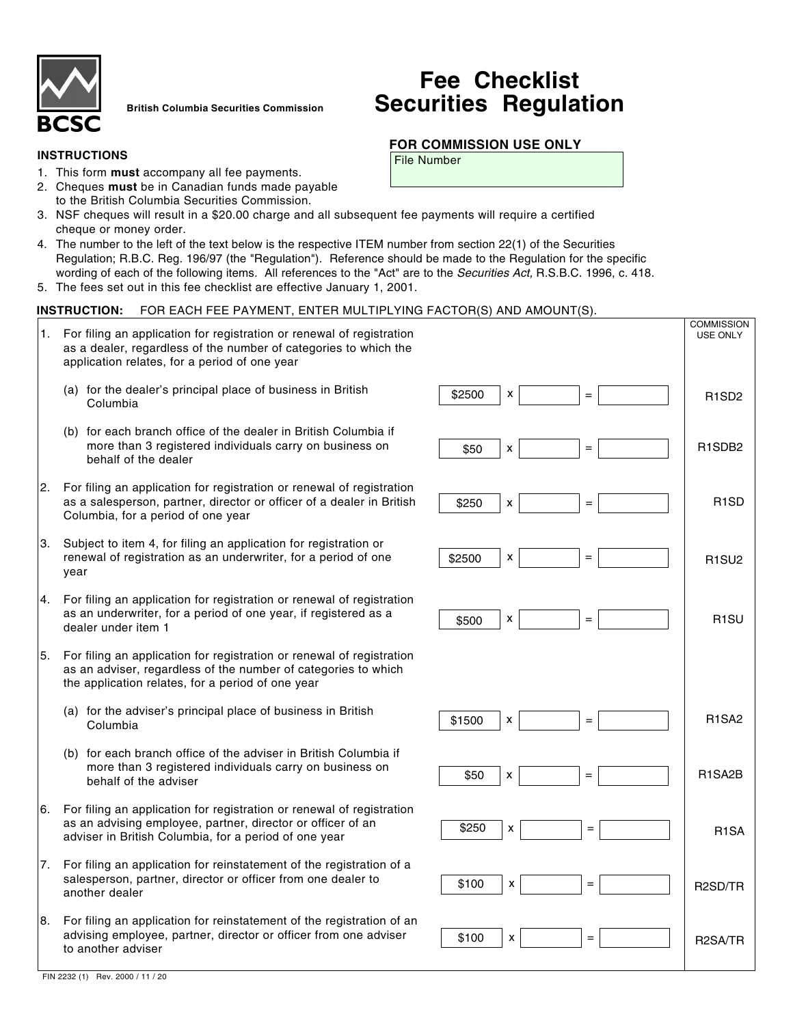

**British Columbia Securities Commission**

## **INSTRUCTIONS**

- 1. This form **must** accompany all fee payments.
- 2. Cheques **must** be in Canadian funds made payable to the British Columbia Securities Commission.
- 3. NSF cheques will result in a \$20.00 charge and all subsequent fee payments will require a certified cheque or money order.
- 4. The number to the left of the text below is the respective ITEM number from section 22(1) of the Securities Regulation; R.B.C. Reg. 196/97 (the "Regulation"). Reference should be made to the Regulation for the specific wording of each of the following items. All references to the "Act" are to the Securities Act, R.S.B.C. 1996, c. 418.
- 5. The fees set out in this fee checklist are effective January 1, 2001.

## **INSTRUCTION:** FOR EACH FEE PAYMENT, ENTER MULTIPLYING FACTOR(S) AND AMOUNT(S).

1. For filing an application for registration or renewal of registration as a dealer, regardless of the number of categories to which the application relates, for a period of one year (a) for the dealer's principal place of business in British Columbia (b) for each branch office of the dealer in British Columbia if more than 3 registered individuals carry on business on behalf of the dealer 2. For filing an application for registration or renewal of registration as a salesperson, partner, director or officer of a dealer in British Columbia, for a period of one year 3. Subject to item 4, for filing an application for registration or renewal of registration as an underwriter, for a period of one year 4. For filing an application for registration or renewal of registration as an underwriter, for a period of one year, if registered as a dealer under item 1 5. For filing an application for registration or renewal of registration as an adviser, regardless of the number of categories to which the application relates, for a period of one year (a) for the adviser's principal place of business in British Columbia (b) for each branch office of the adviser in British Columbia if more than 3 registered individuals carry on business on behalf of the adviser 6. For filing an application for registration or renewal of registration as an advising employee, partner, director or officer of an adviser in British Columbia, for a period of one year 7. For filing an application for reinstatement of the registration of a salesperson, partner, director or officer from one dealer to another dealer 8. For filing an application for reinstatement of the registration of an advising employee, partner, director or officer from one adviser to another adviser **COMMISSION** USE ONLY  $$2500$   $x$   $=$   $=$   $\frac{1}{2}$  R1SD2  $$50$   $x$   $=$   $=$   $\uparrow$  R1SDB2 \$1500 R1SA2  $$2500$   $x$  =  $=$   $\frac{1}{2}$  R1SU2 \$500 R1SU  $$100 \mid x$   $=$   $\mid$  R2SA/TR \$100 \$250 \$250 R1SD \$50 x = = 1 R1SA2B R1SA R2SD/TR x x x x x x x x x x = = = = = = = = =

# **Fee Checklist Securities Regulation**

## **FOR COMMISSION USE ONLY**

File Number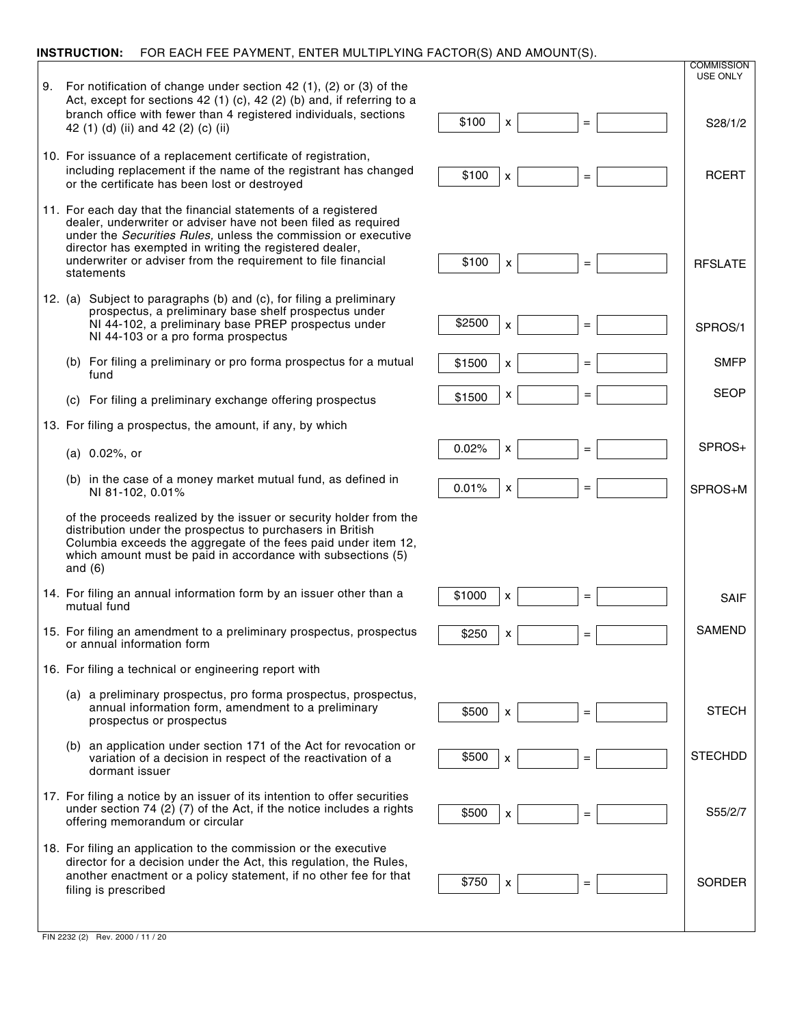## **INSTRUCTION:** FOR EACH FEE PAYMENT, ENTER MULTIPLYING FACTOR(S) AND AMOUNT(S).

- 9. For notification of change under section 42 (1), (2) or (3) of the Act, except for sections 42 (1) (c), 42 (2) (b) and, if referring to a branch office with fewer than 4 registered individuals, sections 42 (1) (d) (ii) and 42 (2) (c) (ii)
- 10. For issuance of a replacement certificate of registration, including replacement if the name of the registrant has changed or the certificate has been lost or destroyed
- 11. For each day that the financial statements of a registered dealer, underwriter or adviser have not been filed as required under the Securities Rules, unless the commission or executive director has exempted in writing the registered dealer, underwriter or adviser from the requirement to file financial statements
- 12. (a) Subject to paragraphs (b) and (c), for filing a preliminary prospectus, a preliminary base shelf prospectus under NI 44-102, a preliminary base PREP prospectus under NI 44-103 or a pro forma prospectus
	- (b) For filing a preliminary or pro forma prospectus for a mutual fund
	- (c) For filing a preliminary exchange offering prospectus
- 13. For filing a prospectus, the amount, if any, by which
	- (a) 0.02%, or
	- (b) in the case of a money market mutual fund, as defined in NI 81-102, 0.01%

of the proceeds realized by the issuer or security holder from the distribution under the prospectus to purchasers in British Columbia exceeds the aggregate of the fees paid under item 12, which amount must be paid in accordance with subsections (5) and (6)

- 14. For filing an annual information form by an issuer other than a mutual fund
- 15. For filing an amendment to a preliminary prospectus, prospectus or annual information form
- 16. For filing a technical or engineering report with
	- (a) a preliminary prospectus, pro forma prospectus, prospectus, annual information form, amendment to a preliminary prospectus or prospectus
	- (b) an application under section 171 of the Act for revocation or variation of a decision in respect of the reactivation of a dormant issuer
- 17. For filing a notice by an issuer of its intention to offer securities under section 74 (2) (7) of the Act, if the notice includes a rights offering memorandum or circular
- 18. For filing an application to the commission or the executive director for a decision under the Act, this regulation, the Rules, another enactment or a policy statement, if no other fee for that filing is prescribed



FIN 2232 (2) Rev. 2000 / 11 / 20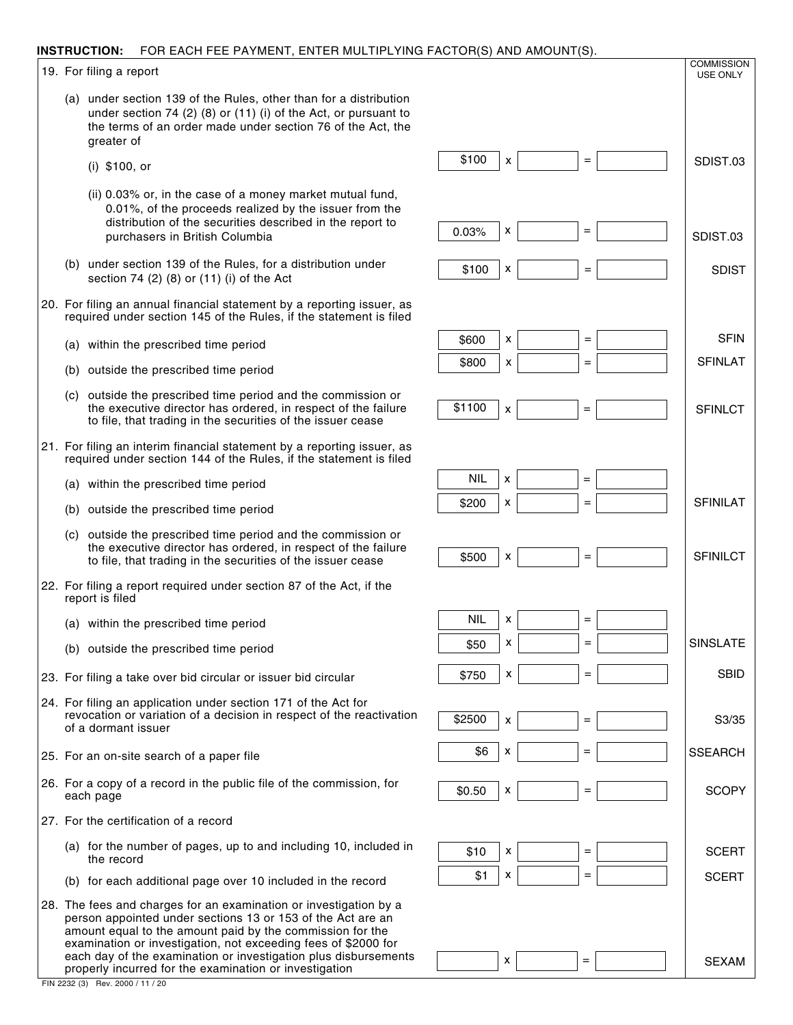#### **INSTRUCTION:** FOR EACH FEE PAYMENT, ENTER MULTIPLYING FACTOR(S) AND AMOUNT(S).

19. For filing a report

- (a) under section 139 of the Rules, other than for a distribution under section 74 (2) (8) or (11) (i) of the Act, or pursuant to the terms of an order made under section 76 of the Act, the greater of
	- (i) \$100, or
	- (ii) 0.03% or, in the case of a money market mutual fund, 0.01%, of the proceeds realized by the issuer from the distribution of the securities described in the report to purchasers in British Columbia
- (b) under section 139 of the Rules, for a distribution under section 74 (2) (8) or (11) (i) of the Act
- 20. For filing an annual financial statement by a reporting issuer, as required under section 145 of the Rules, if the statement is filed
	- (a) within the prescribed time period
	- (b) outside the prescribed time period
	- (c) outside the prescribed time period and the commission or the executive director has ordered, in respect of the failure to file, that trading in the securities of the issuer cease
- 21. For filing an interim financial statement by a reporting issuer, as required under section 144 of the Rules, if the statement is filed
	- (a) within the prescribed time period
	- (b) outside the prescribed time period
	- (c) outside the prescribed time period and the commission or the executive director has ordered, in respect of the failure to file, that trading in the securities of the issuer cease
- 22. For filing a report required under section 87 of the Act, if the report is filed
	- (a) within the prescribed time period
	- (b) outside the prescribed time period
- 23. For filing a take over bid circular or issuer bid circular
- 24. For filing an application under section 171 of the Act for revocation or variation of a decision in respect of the reactivation of a dormant issuer
- 25. For an on-site search of a paper file
- 26. For a copy of a record in the public file of the commission, for each page
- 27. For the certification of a record
	- (a) for the number of pages, up to and including 10, included in the record
	- (b) for each additional page over 10 included in the record
- 28. The fees and charges for an examination or investigation by a person appointed under sections 13 or 153 of the Act are an amount equal to the amount paid by the commission for the examination or investigation, not exceeding fees of \$2000 for each day of the examination or investigation plus disbursements properly incurred for the examination or investigation
- \$100 0.03% SDIST.03 SDIST.03 =  $x \mid$  = x \$100 x = SDIST  $$800$   $x$   $=$   $=$   $\qquad$  SFINLAT \$600 SFIN x  $x \mid$  = = \$1100 NIL **SFINLCT** =  $x \mid$  = x **SFINILCT**  $$200$   $\times$ NIL \$500 **SBID** x  $x \mid$  = = **SSEARCH** \$750 \$50 S3/35 x  $x \mid$  = = \$2500 \$6 **SCERT SCOPY** =  $x \mid$  = x **SCERT**  $$0.50$  | x \$10  $x \mid$  =  $$1 \mid x \mid$  = SFINILAT SINSLATE **COMMISSION** USE ONLY

 $x \mid$   $=$   $\mid$   $\mid$  SEXAM

=